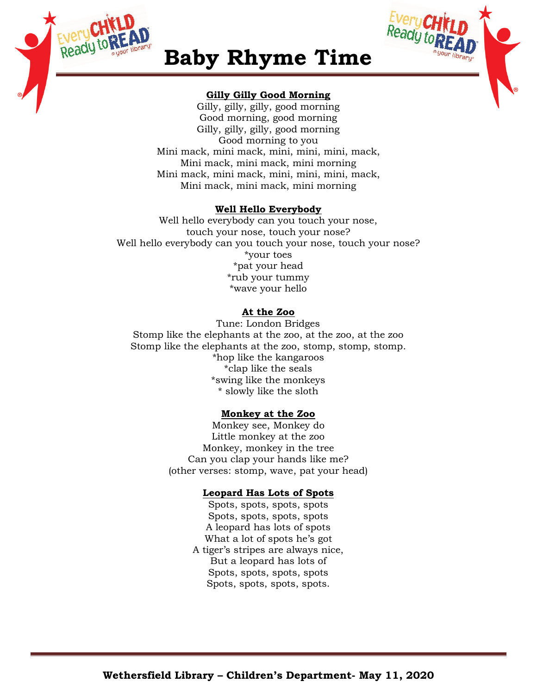



# **Baby Rhyme Time**

## **Gilly Gilly Good Morning**

Gilly, gilly, gilly, good morning Good morning, good morning Gilly, gilly, gilly, good morning Good morning to you Mini mack, mini mack, mini, mini, mini, mack, Mini mack, mini mack, mini morning Mini mack, mini mack, mini, mini, mini, mack, Mini mack, mini mack, mini morning

## **Well Hello Everybody**

Well hello everybody can you touch your nose, touch your nose, touch your nose? Well hello everybody can you touch your nose, touch your nose? \*your toes \*pat your head \*rub your tummy \*wave your hello

# **At the Zoo**

Tune: London Bridges Stomp like the elephants at the zoo, at the zoo, at the zoo Stomp like the elephants at the zoo, stomp, stomp, stomp. \*hop like the kangaroos \*clap like the seals \*swing like the monkeys \* slowly like the sloth

# **Monkey at the Zoo**

Monkey see, Monkey do Little monkey at the zoo Monkey, monkey in the tree Can you clap your hands like me? (other verses: stomp, wave, pat your head)

# **Leopard Has Lots of Spots**

Spots, spots, spots, spots Spots, spots, spots, spots A leopard has lots of spots What a lot of spots he's got A tiger's stripes are always nice, But a leopard has lots of Spots, spots, spots, spots Spots, spots, spots, spots.